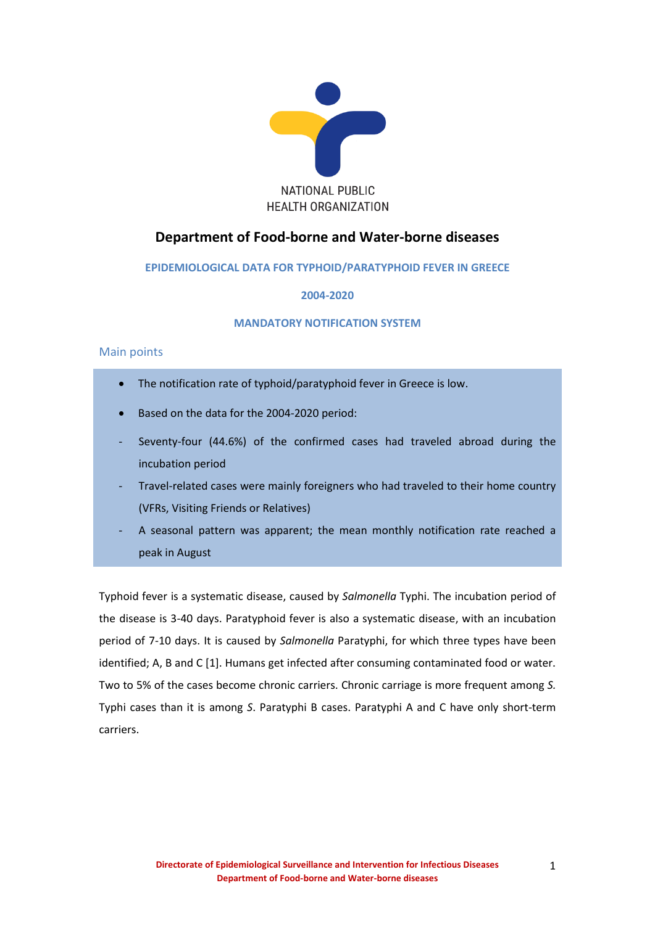

# **Department of Food-borne and Water-borne diseases**

# **EPIDEMIOLOGICAL DATA FOR ΤYPHOID/PARATYPHOID FEVER IN GREECE**

# **2004-2020**

# **MANDATORY NOTIFICATION SYSTEM**

# Main points

- The notification rate of typhoid/paratyphoid fever in Greece is low.
- Based on the data for the 2004-2020 period:
- Seventy-four (44.6%) of the confirmed cases had traveled abroad during the incubation period
- Travel-related cases were mainly foreigners who had traveled to their home country (VFRs, Visiting Friends or Relatives)
- A seasonal pattern was apparent; the mean monthly notification rate reached a peak in August

Typhoid fever is a systematic disease, caused by *Salmonella* Τyphi. The incubation period of the disease is 3-40 days. Paratyphoid fever is also a systematic disease, with an incubation period of 7-10 days. It is caused by *Salmonella* Paratyphi, for which three types have been identified; A, B and C [1]. Humans get infected after consuming contaminated food or water. Two to 5% of the cases become chronic carriers. Chronic carriage is more frequent among *S.* Typhi cases than it is among *S*. Paratyphi B cases. Paratyphi A and C have only short-term carriers.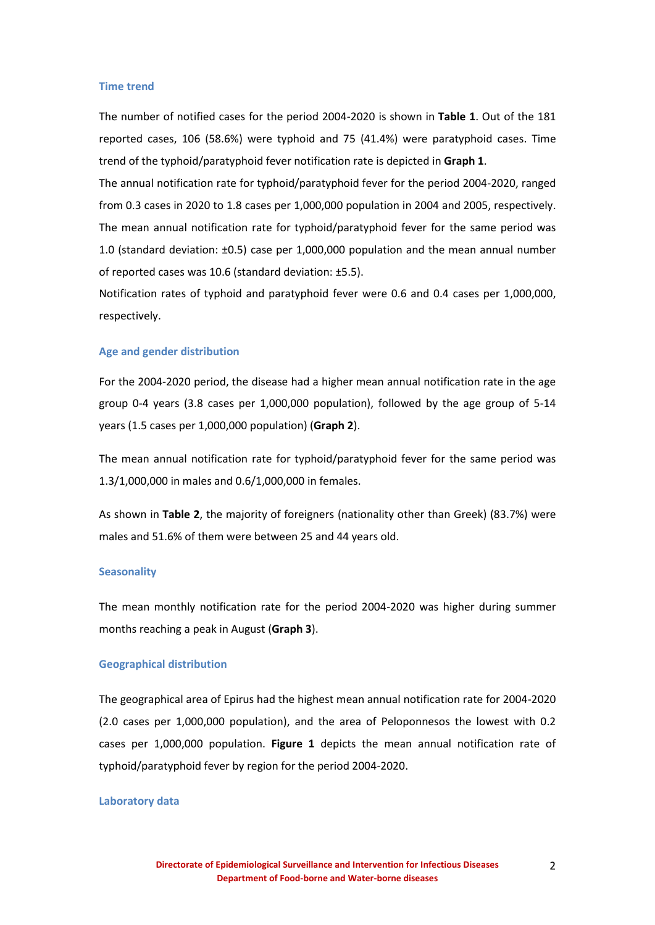#### **Time trend**

The number of notified cases for the period 2004-2020 is shown in **Table 1**. Out of the 181 reported cases, 106 (58.6%) were typhoid and 75 (41.4%) were paratyphoid cases. Time trend of the typhoid/paratyphoid fever notification rate is depicted in **Graph 1**.

The annual notification rate for typhoid/paratyphoid fever for the period 2004-2020, ranged from 0.3 cases in 2020 to 1.8 cases per 1,000,000 population in 2004 and 2005, respectively. The mean annual notification rate for typhoid/paratyphoid fever for the same period was 1.0 (standard deviation: ±0.5) case per 1,000,000 population and the mean annual number of reported cases was 10.6 (standard deviation: ±5.5).

Notification rates of typhoid and paratyphoid fever were 0.6 and 0.4 cases per 1,000,000, respectively.

#### **Age and gender distribution**

For the 2004-2020 period, the disease had a higher mean annual notification rate in the age group 0-4 years (3.8 cases per 1,000,000 population), followed by the age group of 5-14 years (1.5 cases per 1,000,000 population) (**Graph 2**).

The mean annual notification rate for typhoid/paratyphoid fever for the same period was 1.3/1,000,000 in males and 0.6/1,000,000 in females.

As shown in **Table 2**, the majority of foreigners (nationality other than Greek) (83.7%) were males and 51.6% of them were between 25 and 44 years old.

#### **Seasonality**

The mean monthly notification rate for the period 2004-2020 was higher during summer months reaching a peak in August (**Graph 3**).

#### **Geographical distribution**

The geographical area of Epirus had the highest mean annual notification rate for 2004-2020 (2.0 cases per 1,000,000 population), and the area of Peloponnesos the lowest with 0.2 cases per 1,000,000 population. **Figure 1** depicts the mean annual notification rate of typhoid/paratyphoid fever by region for the period 2004-2020.

### **Laboratory data**

2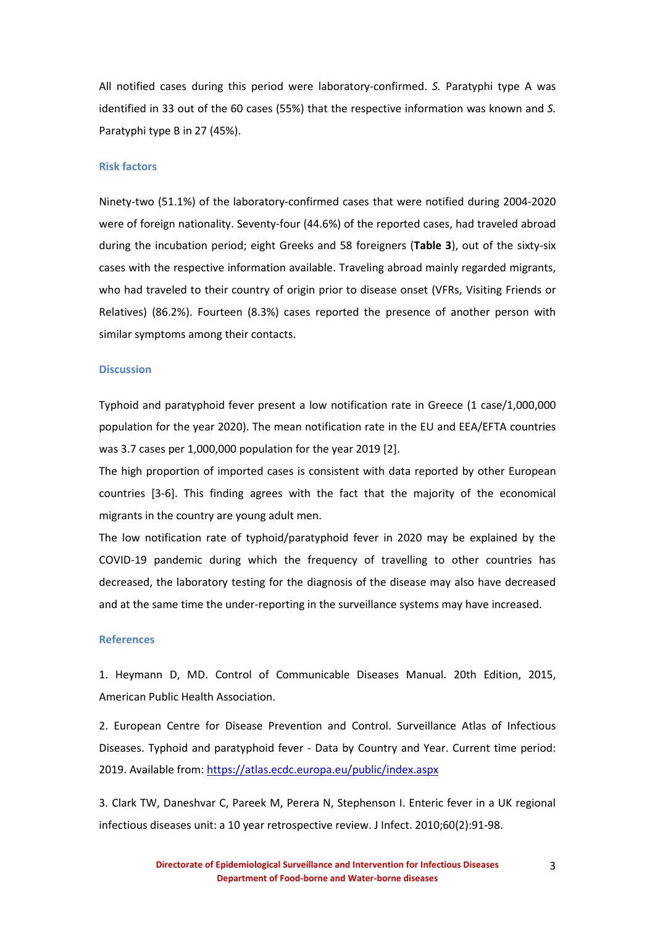All notified cases during this period were laboratory-confirmed. *S.* Paratyphi type A was identified in 33 out of the 60 cases (55%) that the respective information was known and *S.* Paratyphi type B in 27 (45%).

### **Risk factors**

Ninety-two (51.1%) of the laboratory-confirmed cases that were notified during 2004-2020 were of foreign nationality. Seventy-four (44.6%) of the reported cases, had traveled abroad during the incubation period; eight Greeks and 58 foreigners (**Table 3**), out of the sixty-six cases with the respective information available. Traveling abroad mainly regarded migrants, who had traveled to their country of origin prior to disease onset (VFRs, Visiting Friends or Relatives) (86.2%). Fourteen (8.3%) cases reported the presence of another person with similar symptoms among their contacts.

### **Discussion**

Typhoid and paratyphoid fever present a low notification rate in Greece (1 case/1,000,000 population for the year 2020). The mean notification rate in the EU and EEA/EFTA countries was 3.7 cases per 1,000,000 population for the year 2019 [2].

The high proportion of imported cases is consistent with data reported by other European countries [3-6]. This finding agrees with the fact that the majority of the economical migrants in the country are young adult men.

The low notification rate of typhoid/paratyphoid fever in 2020 may be explained by the COVID-19 pandemic during which the frequency of travelling to other countries has decreased, the laboratory testing for the diagnosis of the disease may also have decreased and at the same time the under-reporting in the surveillance systems may have increased.

#### **References**

1. Heymann D, MD. Control of Communicable Diseases Manual. 20th Edition, 2015, American Public Health Association.

2. European Centre for Disease Prevention and Control. Surveillance Atlas of Infectious Diseases. Typhoid and paratyphoid fever - Data by Country and Year. Current time period: 2019. Available from: <https://atlas.ecdc.europa.eu/public/index.aspx>

3. Clark TW, Daneshvar C, Pareek M, Perera N, Stephenson I. Enteric fever in a UK regional infectious diseases unit: a 10 year retrospective review. J Infect. 2010;60(2):91-98.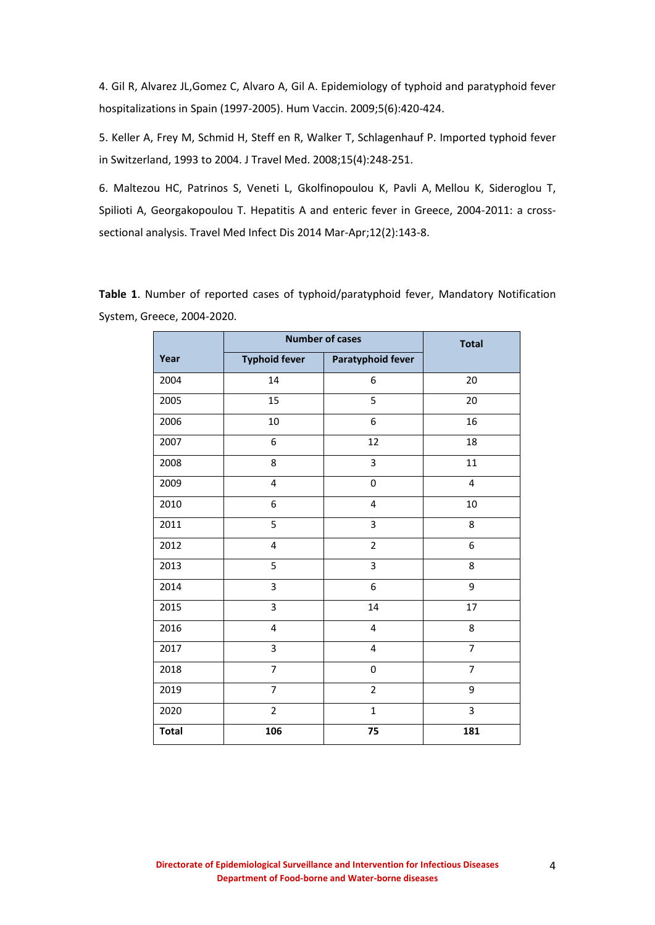4. Gil R, Alvarez JL,Gomez C, Alvaro A, Gil A. Epidemiology of typhoid and paratyphoid fever hospitalizations in Spain (1997-2005). Hum Vaccin. 2009;5(6):420-424.

5. Keller A, Frey M, Schmid H, Steff en R, Walker T, Schlagenhauf P. Imported typhoid fever in Switzerland, 1993 to 2004. J Travel Μed. 2008;15(4):248-251.

6. Maltezou HC, Patrinos S, Veneti L, Gkolfinopoulou K, Pavli A, Mellou K, Sideroglou T, Spilioti A, Georgakopoulou T. H[epatitis A and enteric fever in Greece, 2004-2011: a cross](https://www.ncbi.nlm.nih.gov/pubmed/24201038)[sectional analysis.](https://www.ncbi.nlm.nih.gov/pubmed/24201038) [Travel Med Infect Dis](https://www.ncbi.nlm.nih.gov/pubmed/24201038) 2014 Mar-Apr;12(2):143-8.

**Table 1**. Number of reported cases of typhoid/paratyphoid fever, Mandatory Notification System, Greece, 2004-2020.

|              | <b>Number of cases</b> |                          | <b>Total</b>            |
|--------------|------------------------|--------------------------|-------------------------|
| Year         | <b>Typhoid fever</b>   | <b>Paratyphoid fever</b> |                         |
| 2004         | 14                     | 6                        | 20                      |
| 2005         | 15                     | 5                        | 20                      |
| 2006         | 10                     | 6                        | 16                      |
| 2007         | 6                      | 12                       | 18                      |
| 2008         | 8                      | 3                        | 11                      |
| 2009         | 4                      | 0                        | $\overline{\mathbf{4}}$ |
| 2010         | 6                      | $\overline{\mathbf{4}}$  | 10                      |
| 2011         | 5                      | 3                        | 8                       |
| 2012         | 4                      | $\overline{2}$           | 6                       |
| 2013         | 5                      | $\overline{3}$           | 8                       |
| 2014         | 3                      | 6                        | 9                       |
| 2015         | 3                      | 14                       | 17                      |
| 2016         | 4                      | $\overline{\mathbf{4}}$  | 8                       |
| 2017         | 3                      | $\overline{\mathbf{4}}$  | $\overline{7}$          |
| 2018         | $\overline{7}$         | $\pmb{0}$                | $\overline{7}$          |
| 2019         | $\overline{7}$         | $\overline{2}$           | 9                       |
| 2020         | $\overline{2}$         | $\mathbf{1}$             | 3                       |
| <b>Total</b> | 106                    | 75                       | 181                     |

4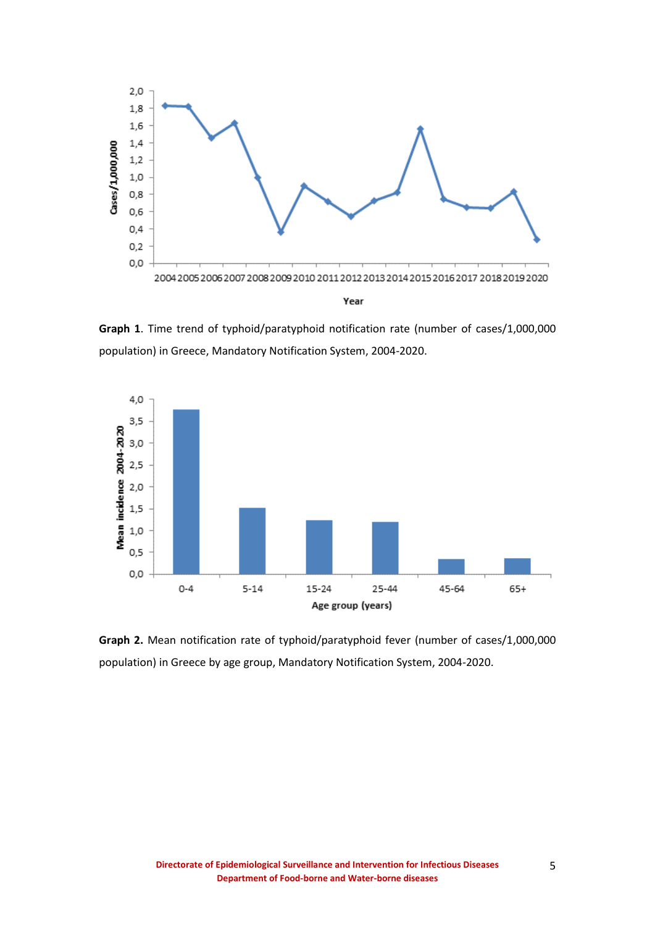

**Graph 1**. Time trend of typhoid/paratyphoid notification rate (number of cases/1,000,000 population) in Greece, Mandatory Notification System, 2004-2020.



**Graph 2.** Mean notification rate of typhoid/paratyphoid fever (number of cases/1,000,000 population) in Greece by age group, Mandatory Notification System, 2004-2020.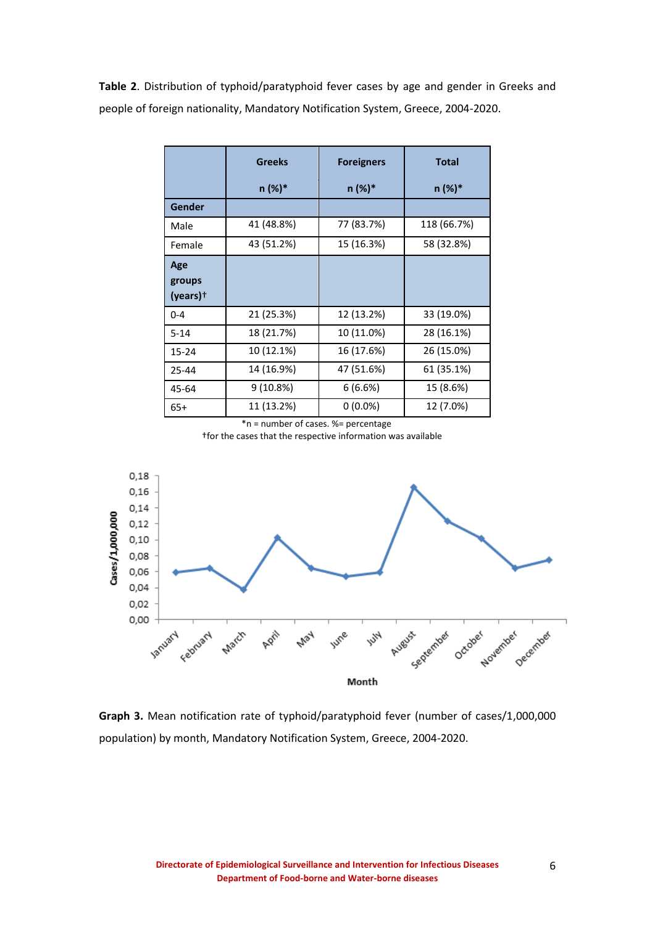**Table 2**. Distribution of typhoid/paratyphoid fever cases by age and gender in Greeks and people of foreign nationality, Mandatory Notification System, Greece, 2004-2020.

|                                         | <b>Greeks</b> | <b>Foreigners</b> | <b>Total</b> |
|-----------------------------------------|---------------|-------------------|--------------|
|                                         | n (%)*        | n (%)*            | n (%)*       |
| Gender                                  |               |                   |              |
| Male                                    | 41 (48.8%)    | 77 (83.7%)        | 118 (66.7%)  |
| Female                                  | 43 (51.2%)    | 15 (16.3%)        | 58 (32.8%)   |
| Age<br>groups<br>$(years)$ <sup>+</sup> |               |                   |              |
| $0 - 4$                                 | 21 (25.3%)    | 12 (13.2%)        | 33 (19.0%)   |
| $5 - 14$                                | 18 (21.7%)    | 10 (11.0%)        | 28 (16.1%)   |
| 15-24                                   | 10 (12.1%)    | 16 (17.6%)        | 26 (15.0%)   |
| 25-44                                   | 14 (16.9%)    | 47 (51.6%)        | 61 (35.1%)   |
| 45-64                                   | 9(10.8%)      | 6(6.6%)           | 15 (8.6%)    |
| $65+$                                   | 11 (13.2%)    | $0(0.0\%)$        | 12 (7.0%)    |

\*n = number of cases. %= percentage

†for the cases that the respective information was available



**Graph 3.** Mean notification rate of typhoid/paratyphoid fever (number of cases/1,000,000 population) by month, Mandatory Notification System, Greece, 2004-2020.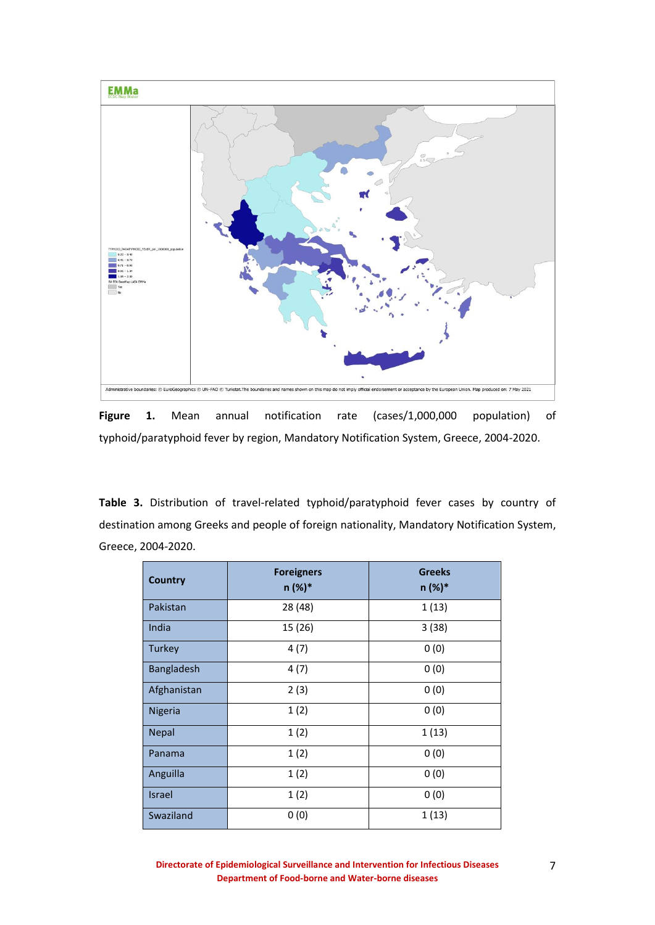

**Figure 1.** Mean annual notification rate (cases/1,000,000 population) of typhoid/paratyphoid fever by region, Mandatory Notification System, Greece, 2004-2020.

**Table 3.** Distribution of travel-related typhoid/paratyphoid fever cases by country of destination among Greeks and people of foreign nationality, Mandatory Notification System, Greece, 2004-2020.

| <b>Country</b> | <b>Foreigners</b><br>n (%)* | <b>Greeks</b><br>n (%)* |
|----------------|-----------------------------|-------------------------|
| Pakistan       | 28 (48)                     | 1(13)                   |
| India          | 15 (26)                     | 3(38)                   |
| Turkey         | 4(7)                        | 0(0)                    |
| Bangladesh     | 4(7)                        | 0(0)                    |
| Afghanistan    | 2(3)                        | 0(0)                    |
| Nigeria        | 1(2)                        | 0(0)                    |
| <b>Nepal</b>   | 1(2)                        | 1(13)                   |
| Panama         | 1(2)                        | 0(0)                    |
| Anguilla       | 1(2)                        | 0(0)                    |
| <b>Israel</b>  | 1(2)                        | 0(0)                    |
| Swaziland      | 0(0)                        | 1(13)                   |